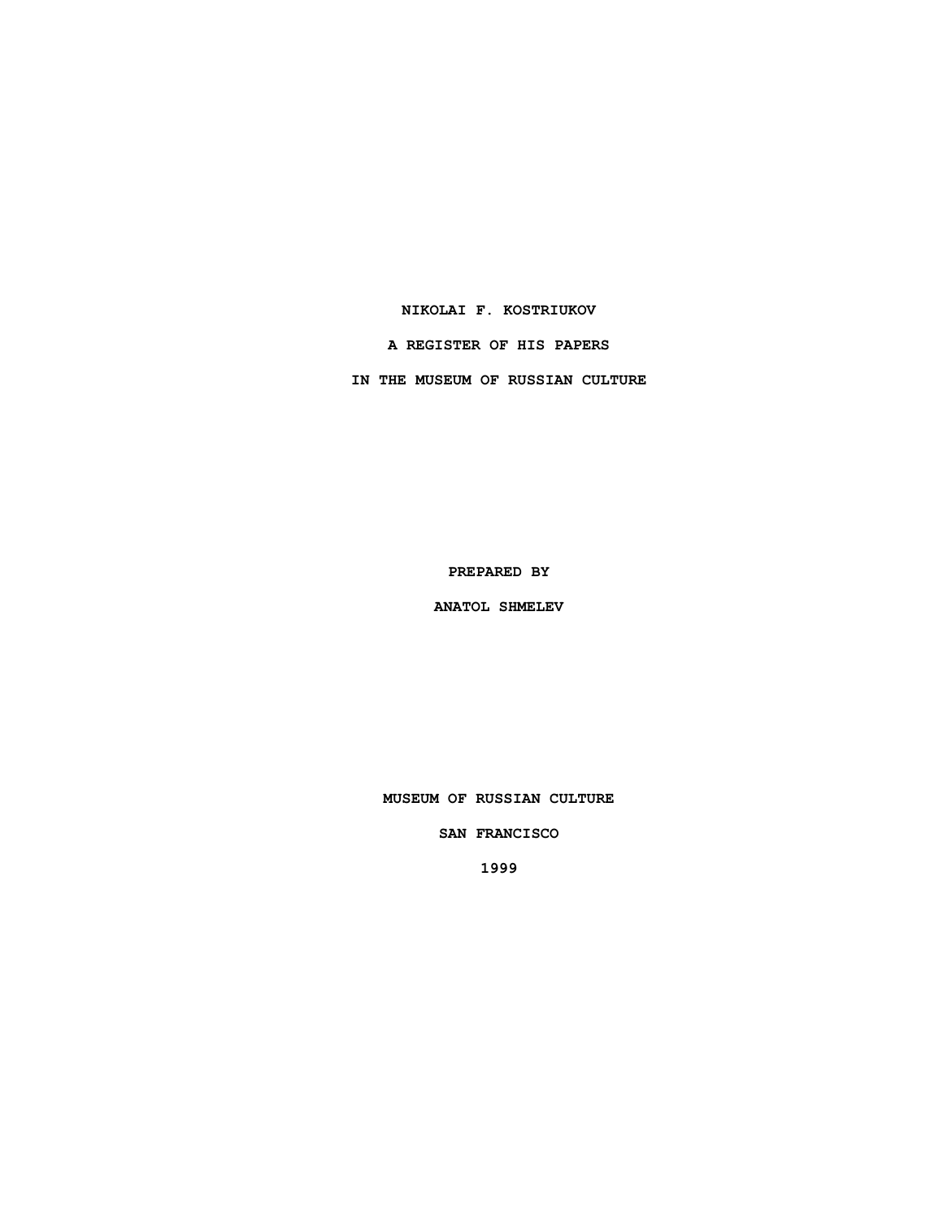# **NIKOLAI F. KOSTRIUKOV**

#### **A REGISTER OF HIS PAPERS**

**IN THE MUSEUM OF RUSSIAN CULTURE**

**PREPARED BY**

**ANATOL SHMELEV**

**MUSEUM OF RUSSIAN CULTURE**

### **SAN FRANCISCO**

**1999**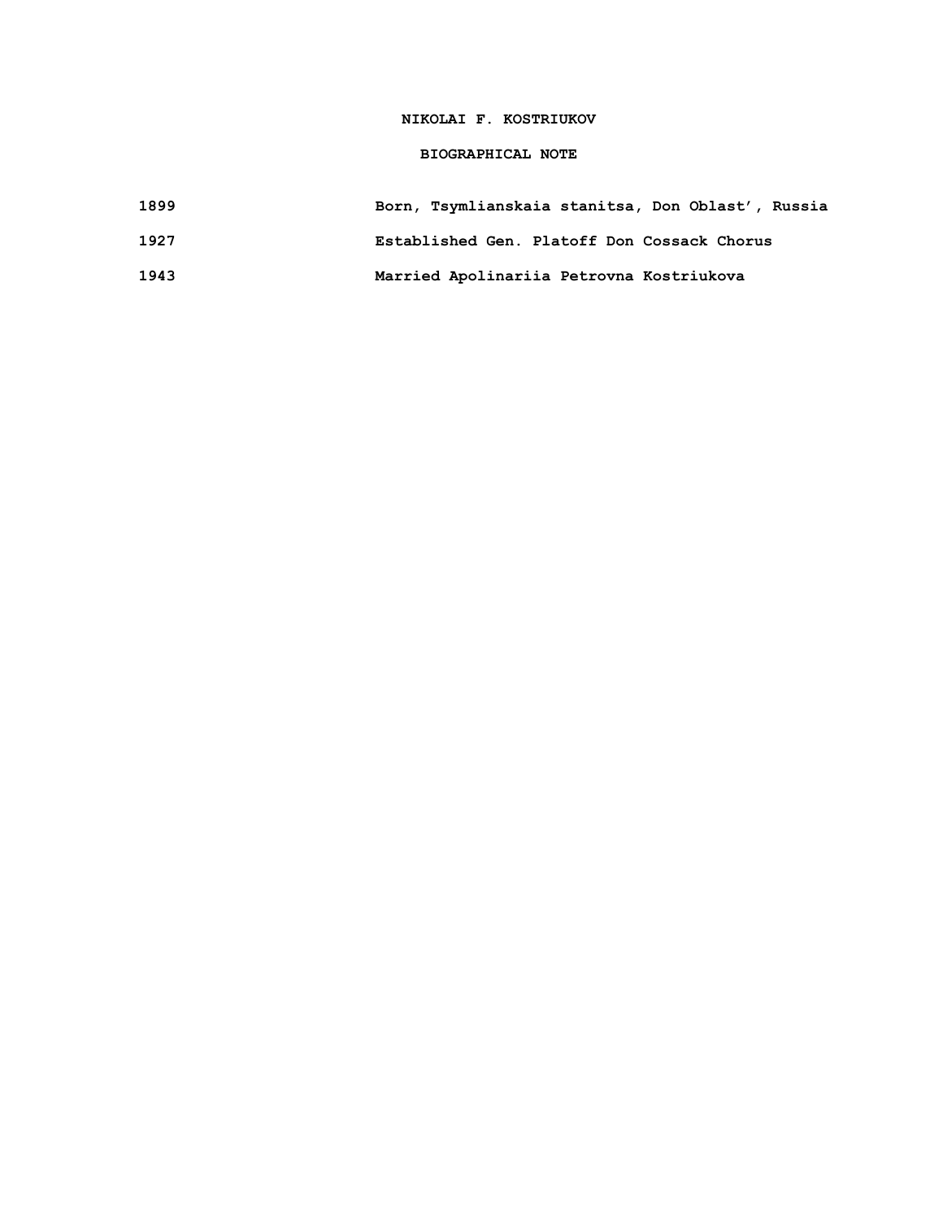### **NIKOLAI F. KOSTRIUKOV**

### **BIOGRAPHICAL NOTE**

| 1899 |  | Born, Tsymlianskaia stanitsa, Don Oblast', Russia |  |  |  |  |
|------|--|---------------------------------------------------|--|--|--|--|
|------|--|---------------------------------------------------|--|--|--|--|

- **1927 Established Gen. Platoff Don Cossack Chorus**
- **1943 Married Apolinariia Petrovna Kostriukova**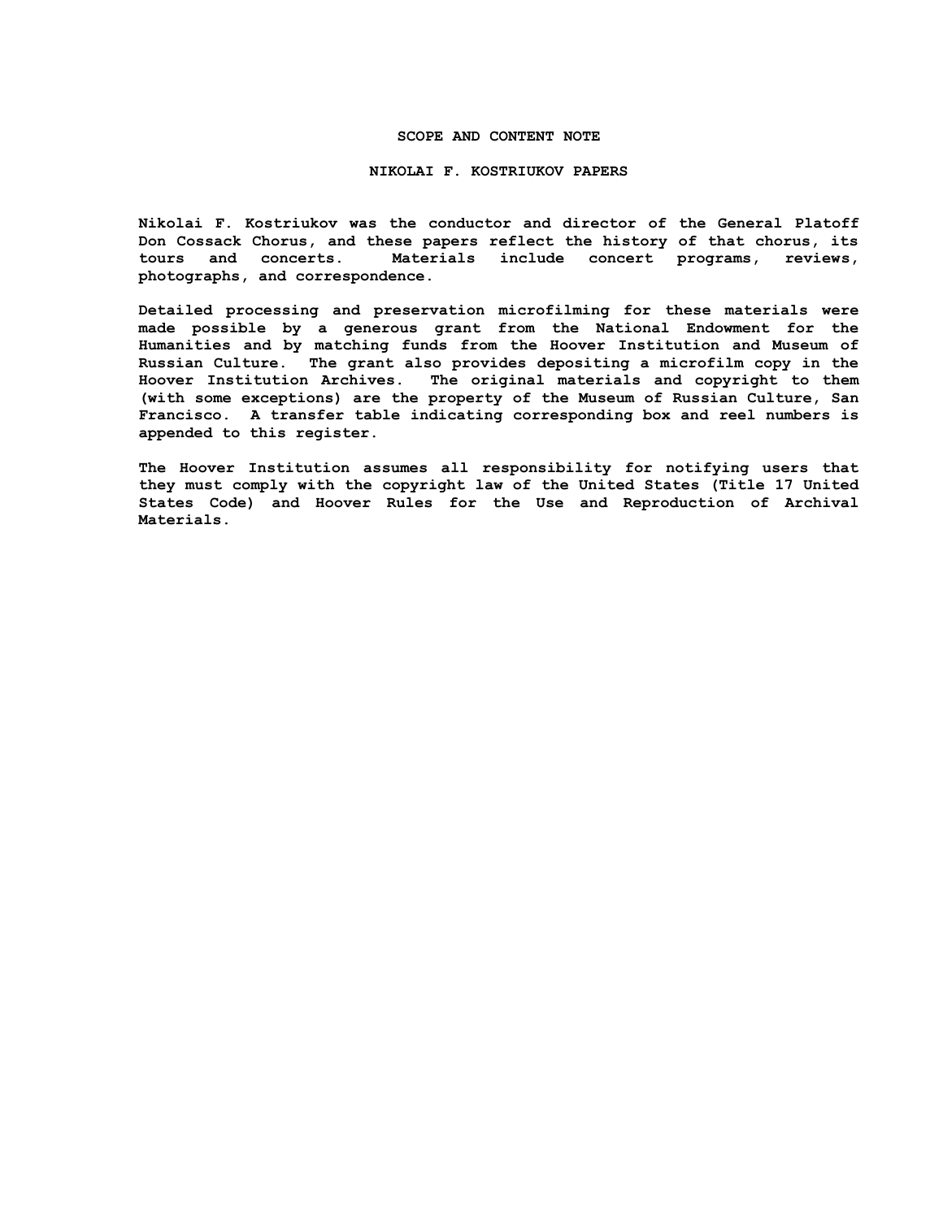### **SCOPE AND CONTENT NOTE**

#### **NIKOLAI F. KOSTRIUKOV PAPERS**

**Nikolai F. Kostriukov was the conductor and director of the General Platoff Don Cossack Chorus, and these papers reflect the history of that chorus, its tours and concerts. Materials include concert programs, reviews, photographs, and correspondence.**

**Detailed processing and preservation microfilming for these materials were made possible by a generous grant from the National Endowment for the Humanities and by matching funds from the Hoover Institution and Museum of Russian Culture. The grant also provides depositing a microfilm copy in the Hoover Institution Archives. The original materials and copyright to them (with some exceptions) are the property of the Museum of Russian Culture, San Francisco. A transfer table indicating corresponding box and reel numbers is appended to this register.**

**The Hoover Institution assumes all responsibility for notifying users that they must comply with the copyright law of the United States (Title 17 United States Code) and Hoover Rules for the Use and Reproduction of Archival Materials.**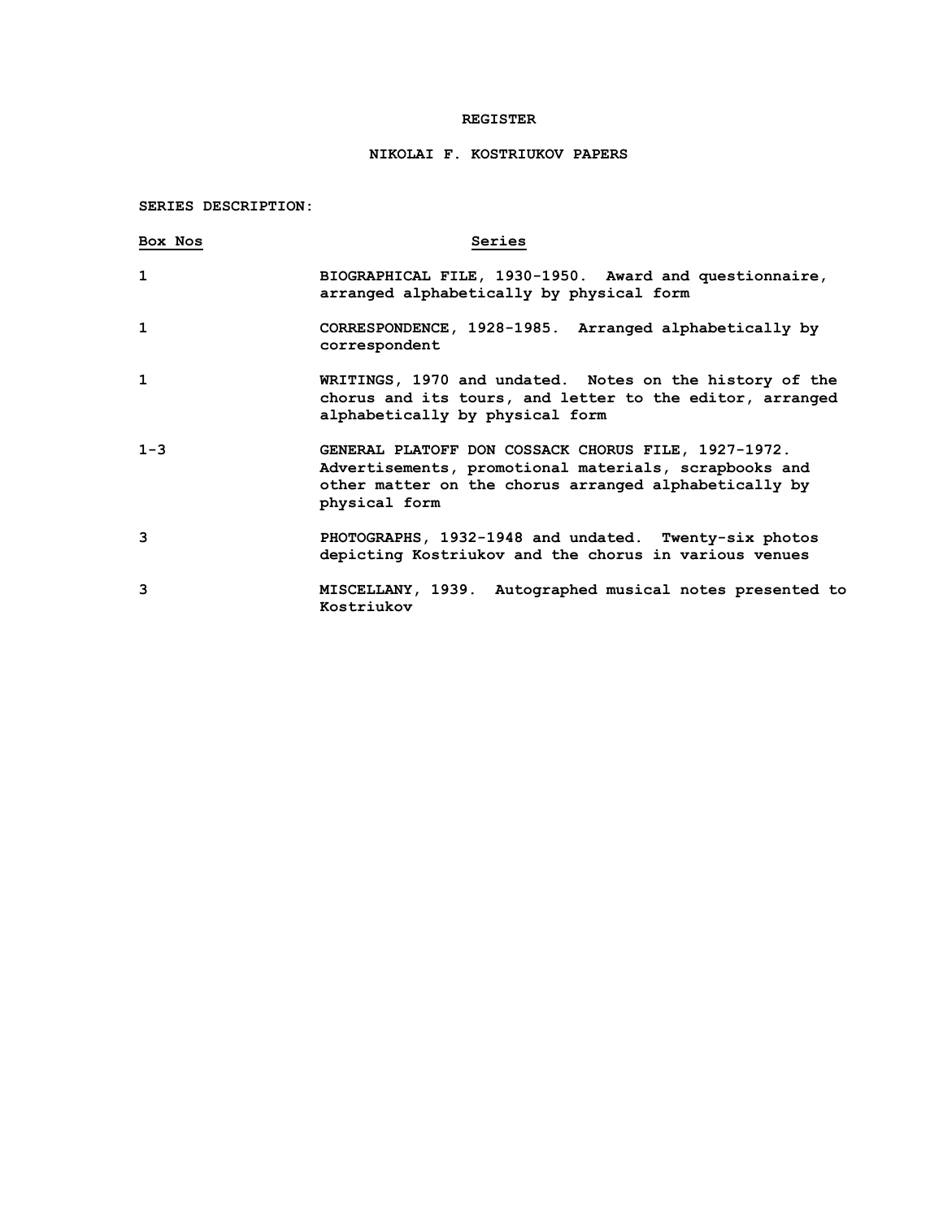### **REGISTER**

## **NIKOLAI F. KOSTRIUKOV PAPERS**

**SERIES DESCRIPTION:**

| Box Nos | Series                                                                                                                                                                                 |
|---------|----------------------------------------------------------------------------------------------------------------------------------------------------------------------------------------|
| 1       | BIOGRAPHICAL FILE, 1930-1950. Award and questionnaire,<br>arranged alphabetically by physical form                                                                                     |
| 1       | CORRESPONDENCE, 1928-1985. Arranged alphabetically by<br>correspondent                                                                                                                 |
| 1       | WRITINGS, 1970 and undated. Notes on the history of the<br>chorus and its tours, and letter to the editor, arranged<br>alphabetically by physical form                                 |
| $1 - 3$ | GENERAL PLATOFF DON COSSACK CHORUS FILE, 1927-1972.<br>Advertisements, promotional materials, scrapbooks and<br>other matter on the chorus arranged alphabetically by<br>physical form |
| 3       | PHOTOGRAPHS, 1932-1948 and undated. Twenty-six photos<br>depicting Kostriukov and the chorus in various venues                                                                         |
| 3       | MISCELLANY, 1939. Autographed musical notes presented to<br>Kostriukov                                                                                                                 |